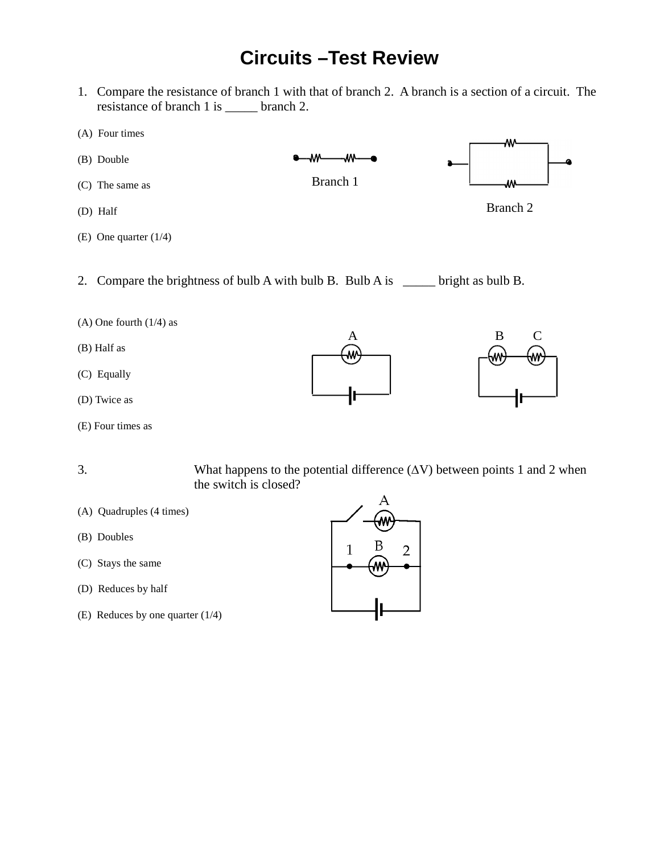## **Circuits –Test Review**

1. Compare the resistance of branch 1 with that of branch 2. A branch is a section of a circuit. The resistance of branch 1 is \_\_\_\_\_ branch 2.



- 
- (A) One fourth (1/4) as
- (B) Half as
- (C) Equally
- (D) Twice as
- (E) Four times as

A B C Ŵ



- 
- 3. What happens to the potential difference (∆V) between points 1 and 2 when the switch is closed?
- (A) Quadruples (4 times)
- (B) Doubles
- (C) Stays the same
- (D) Reduces by half
- (E) Reduces by one quarter (1/4)

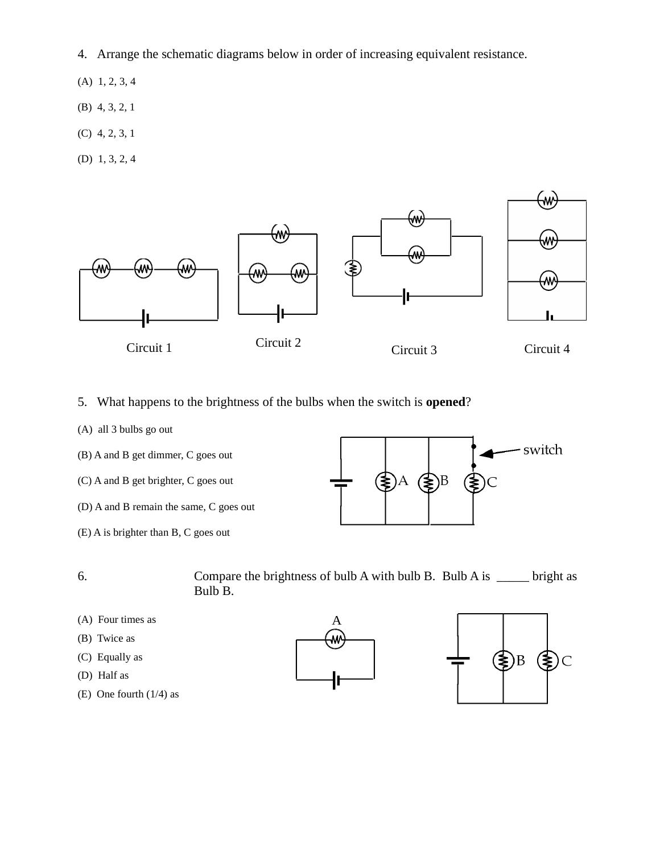- 4. Arrange the schematic diagrams below in order of increasing equivalent resistance.
- (A) 1, 2, 3, 4
- (B) 4, 3, 2, 1
- (C) 4, 2, 3, 1
- (D) 1, 3, 2, 4



- 5. What happens to the brightness of the bulbs when the switch is **opened**?
- (A) all 3 bulbs go out
- (B) A and B get dimmer, C goes out
- (C) A and B get brighter, C goes out
- (D) A and B remain the same, C goes out
- (E) A is brighter than B, C goes out



- 6. Compare the brightness of bulb A with bulb B. Bulb A is \_\_\_\_\_ bright as Bulb B.
- (A) Four times as
- (B) Twice as
- (C) Equally as
- (D) Half as
- (E) One fourth (1/4) as



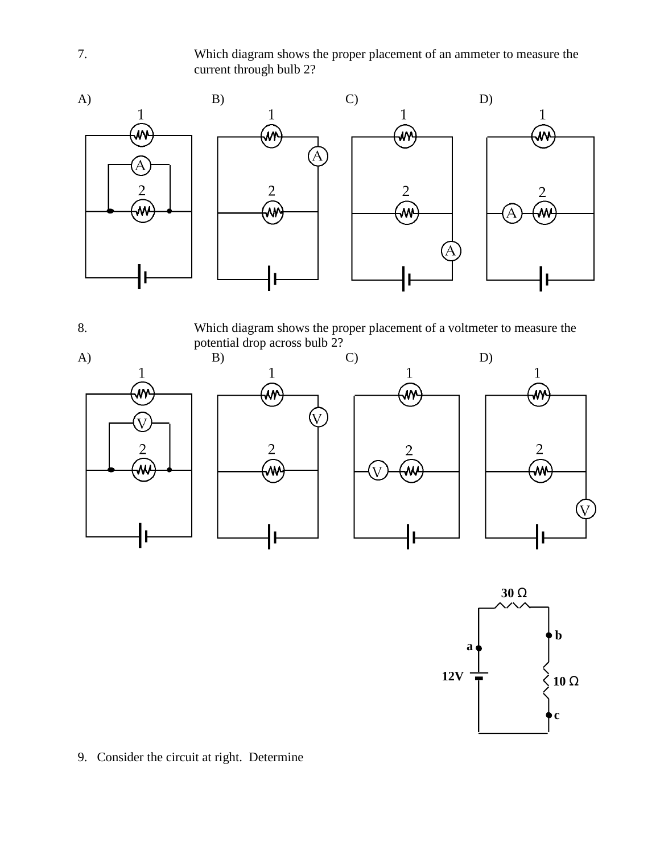7. Which diagram shows the proper placement of an ammeter to measure the current through bulb 2?



8. Which diagram shows the proper placement of a voltmeter to measure the





9. Consider the circuit at right. Determine